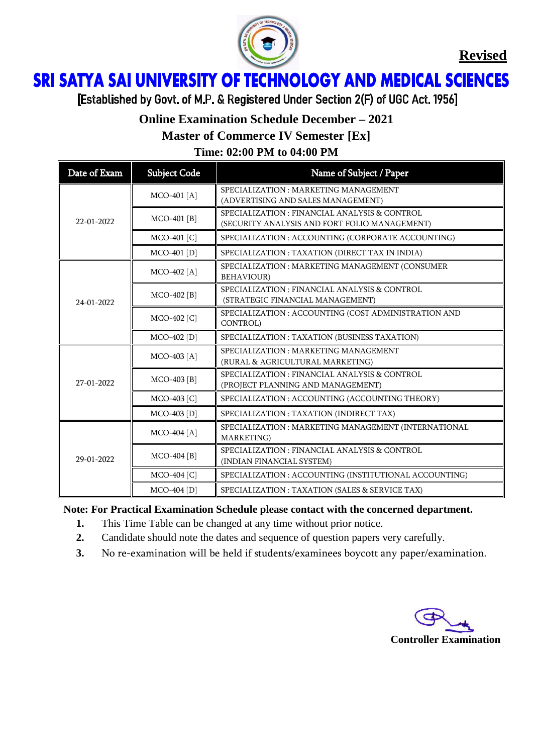

**Revised**

## ì Ï

[Established by Govt. of M.P. & Registered Under Section 2(F) of UGC Act. 1956]

## **Online Examination Schedule December – 2021**

**Master of Commerce IV Semester [Ex]**

**Time: 02:00 PM to 04:00 PM**

| Date of Exam | <b>Subject Code</b> | Name of Subject / Paper                                                                        |
|--------------|---------------------|------------------------------------------------------------------------------------------------|
| 22-01-2022   | MCO-401 [A]         | SPECIALIZATION: MARKETING MANAGEMENT<br>(ADVERTISING AND SALES MANAGEMENT)                     |
|              | $MCO-401$ [B]       | SPECIALIZATION : FINANCIAL ANALYSIS & CONTROL<br>(SECURITY ANALYSIS AND FORT FOLIO MANAGEMENT) |
|              | MCO-401 [C]         | SPECIALIZATION : ACCOUNTING (CORPORATE ACCOUNTING)                                             |
|              | $MCO-401$ [D]       | SPECIALIZATION : TAXATION (DIRECT TAX IN INDIA)                                                |
| 24-01-2022   | $MCO-402 [A]$       | SPECIALIZATION : MARKETING MANAGEMENT (CONSUMER<br><b>BEHAVIOUR)</b>                           |
|              | MCO-402 [B]         | SPECIALIZATION : FINANCIAL ANALYSIS & CONTROL<br>(STRATEGIC FINANCIAL MANAGEMENT)              |
|              | MCO-402 [C]         | SPECIALIZATION : ACCOUNTING (COST ADMINISTRATION AND<br>CONTROL)                               |
|              | MCO-402 [D]         | SPECIALIZATION : TAXATION (BUSINESS TAXATION)                                                  |
| 27-01-2022   | MCO-403 [A]         | SPECIALIZATION: MARKETING MANAGEMENT<br>(RURAL & AGRICULTURAL MARKETING)                       |
|              | $MCO-403$ [B]       | SPECIALIZATION : FINANCIAL ANALYSIS & CONTROL<br>(PROJECT PLANNING AND MANAGEMENT)             |
|              | MCO-403 [C]         | SPECIALIZATION : ACCOUNTING (ACCOUNTING THEORY)                                                |
|              | MCO-403 [D]         | SPECIALIZATION : TAXATION (INDIRECT TAX)                                                       |
| 29-01-2022   | MCO-404 [A]         | SPECIALIZATION : MARKETING MANAGEMENT (INTERNATIONAL<br>MARKETING)                             |
|              | $MCO-404$ [B]       | SPECIALIZATION : FINANCIAL ANALYSIS & CONTROL<br>(INDIAN FINANCIAL SYSTEM)                     |
|              | MCO-404 [C]         | SPECIALIZATION : ACCOUNTING (INSTITUTIONAL ACCOUNTING)                                         |
|              | MCO-404 [D]         | SPECIALIZATION : TAXATION (SALES & SERVICE TAX)                                                |

**Note: For Practical Examination Schedule please contact with the concerned department.**

- **1.** This Time Table can be changed at any time without prior notice.
- **2.** Candidate should note the dates and sequence of question papers very carefully.
- **3.** No re-examination will be held if students/examinees boycott any paper/examination.

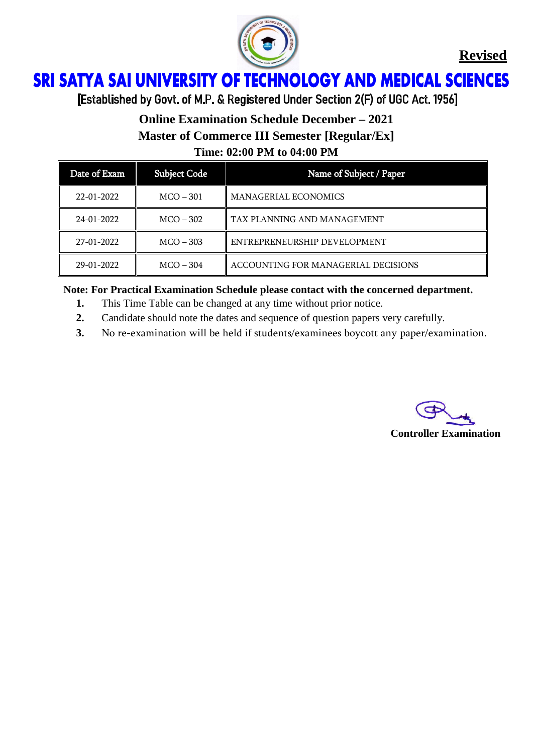

**Revised**

## ì Ï

[Established by Govt. of M.P. & Registered Under Section 2(F) of UGC Act. 1956]

## **Online Examination Schedule December – 2021**

**Master of Commerce III Semester [Regular/Ex]**

**Time: 02:00 PM to 04:00 PM**

| Date of Exam     | <b>Subject Code</b> | Name of Subject / Paper             |
|------------------|---------------------|-------------------------------------|
| $22 - 01 - 2022$ | $MCO - 301$         | <b>MANAGERIAL ECONOMICS</b>         |
| 24-01-2022       | $MCO - 302$         | TAX PLANNING AND MANAGEMENT         |
| 27-01-2022       | $MCO - 303$         | ENTREPRENEURSHIP DEVELOPMENT        |
| 29-01-2022       | $MCO - 304$         | ACCOUNTING FOR MANAGERIAL DECISIONS |

#### **Note: For Practical Examination Schedule please contact with the concerned department.**

- **1.** This Time Table can be changed at any time without prior notice.
- **2.** Candidate should note the dates and sequence of question papers very carefully.
- **3.** No re-examination will be held if students/examinees boycott any paper/examination.